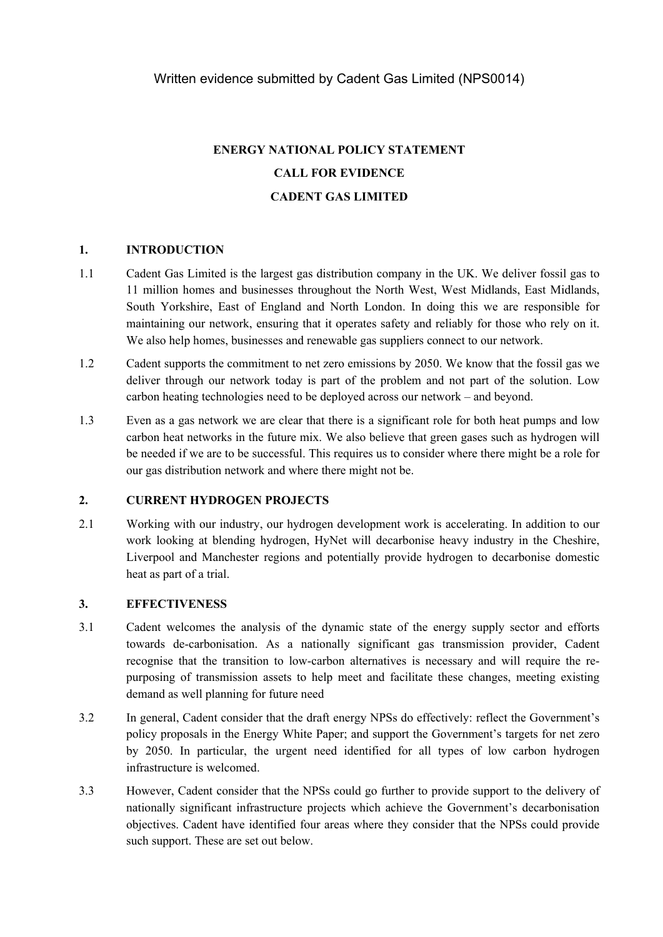# **ENERGY NATIONAL POLICY STATEMENT CALL FOR EVIDENCE CADENT GAS LIMITED**

## **1. INTRODUCTION**

- 1.1 Cadent Gas Limited is the largest gas distribution company in the UK. We deliver fossil gas to 11 million homes and businesses throughout the North West, West Midlands, East Midlands, South Yorkshire, East of England and North London. In doing this we are responsible for maintaining our network, ensuring that it operates safety and reliably for those who rely on it. We also help homes, businesses and renewable gas suppliers connect to our network.
- 1.2 Cadent supports the commitment to net zero emissions by 2050. We know that the fossil gas we deliver through our network today is part of the problem and not part of the solution. Low carbon heating technologies need to be deployed across our network – and beyond.
- 1.3 Even as a gas network we are clear that there is a significant role for both heat pumps and low carbon heat networks in the future mix. We also believe that green gases such as hydrogen will be needed if we are to be successful. This requires us to consider where there might be a role for our gas distribution network and where there might not be.

## **2. CURRENT HYDROGEN PROJECTS**

2.1 Working with our industry, our hydrogen development work is accelerating. In addition to our work looking at blending hydrogen, HyNet will decarbonise heavy industry in the Cheshire, Liverpool and Manchester regions and potentially provide hydrogen to decarbonise domestic heat as part of a trial.

## **3. EFFECTIVENESS**

- 3.1 Cadent welcomes the analysis of the dynamic state of the energy supply sector and efforts towards de-carbonisation. As a nationally significant gas transmission provider, Cadent recognise that the transition to low-carbon alternatives is necessary and will require the repurposing of transmission assets to help meet and facilitate these changes, meeting existing demand as well planning for future need
- 3.2 In general, Cadent consider that the draft energy NPSs do effectively: reflect the Government's policy proposals in the Energy White Paper; and support the Government's targets for net zero by 2050. In particular, the urgent need identified for all types of low carbon hydrogen infrastructure is welcomed.
- 3.3 However, Cadent consider that the NPSs could go further to provide support to the delivery of nationally significant infrastructure projects which achieve the Government's decarbonisation objectives. Cadent have identified four areas where they consider that the NPSs could provide such support. These are set out below.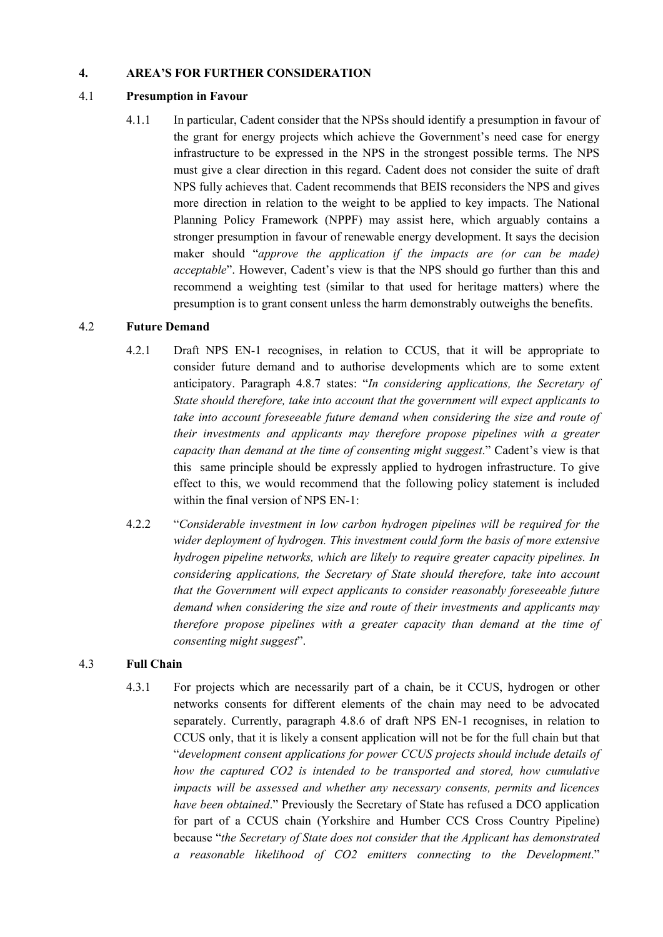### **4. AREA'S FOR FURTHER CONSIDERATION**

### 4.1 **Presumption in Favour**

4.1.1 In particular, Cadent consider that the NPSs should identify a presumption in favour of the grant for energy projects which achieve the Government's need case for energy infrastructure to be expressed in the NPS in the strongest possible terms. The NPS must give a clear direction in this regard. Cadent does not consider the suite of draft NPS fully achieves that. Cadent recommends that BEIS reconsiders the NPS and gives more direction in relation to the weight to be applied to key impacts. The National Planning Policy Framework (NPPF) may assist here, which arguably contains a stronger presumption in favour of renewable energy development. It says the decision maker should "*approve the application if the impacts are (or can be made) acceptable*". However, Cadent's view is that the NPS should go further than this and recommend a weighting test (similar to that used for heritage matters) where the presumption is to grant consent unless the harm demonstrably outweighs the benefits.

## 4.2 **Future Demand**

- 4.2.1 Draft NPS EN-1 recognises, in relation to CCUS, that it will be appropriate to consider future demand and to authorise developments which are to some extent anticipatory. Paragraph 4.8.7 states: "*In considering applications, the Secretary of State should therefore, take into account that the government will expect applicants to take into account foreseeable future demand when considering the size and route of their investments and applicants may therefore propose pipelines with a greater capacity than demand at the time of consenting might suggest*." Cadent's view is that this same principle should be expressly applied to hydrogen infrastructure. To give effect to this, we would recommend that the following policy statement is included within the final version of NPS EN-1:
- 4.2.2 "*Considerable investment in low carbon hydrogen pipelines will be required for the wider deployment of hydrogen. This investment could form the basis of more extensive hydrogen pipeline networks, which are likely to require greater capacity pipelines. In considering applications, the Secretary of State should therefore, take into account that the Government will expect applicants to consider reasonably foreseeable future demand when considering the size and route of their investments and applicants may therefore propose pipelines with a greater capacity than demand at the time of consenting might suggest*".

## 4.3 **Full Chain**

4.3.1 For projects which are necessarily part of a chain, be it CCUS, hydrogen or other networks consents for different elements of the chain may need to be advocated separately. Currently, paragraph 4.8.6 of draft NPS EN-1 recognises, in relation to CCUS only, that it is likely a consent application will not be for the full chain but that "*development consent applications for power CCUS projects should include details of how the captured CO2 is intended to be transported and stored, how cumulative impacts will be assessed and whether any necessary consents, permits and licences have been obtained*." Previously the Secretary of State has refused a DCO application for part of a CCUS chain (Yorkshire and Humber CCS Cross Country Pipeline) because "*the Secretary of State does not consider that the Applicant has demonstrated a reasonable likelihood of CO2 emitters connecting to the Development*."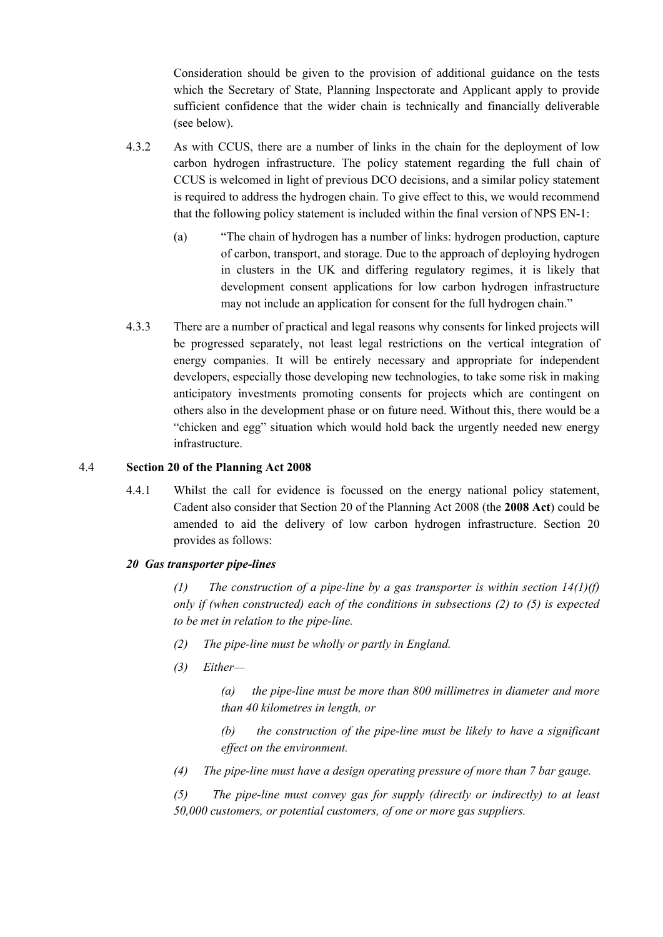Consideration should be given to the provision of additional guidance on the tests which the Secretary of State, Planning Inspectorate and Applicant apply to provide sufficient confidence that the wider chain is technically and financially deliverable (see below).

- 4.3.2 As with CCUS, there are a number of links in the chain for the deployment of low carbon hydrogen infrastructure. The policy statement regarding the full chain of CCUS is welcomed in light of previous DCO decisions, and a similar policy statement is required to address the hydrogen chain. To give effect to this, we would recommend that the following policy statement is included within the final version of NPS EN-1:
	- (a) "The chain of hydrogen has a number of links: hydrogen production, capture of carbon, transport, and storage. Due to the approach of deploying hydrogen in clusters in the UK and differing regulatory regimes, it is likely that development consent applications for low carbon hydrogen infrastructure may not include an application for consent for the full hydrogen chain."
- 4.3.3 There are a number of practical and legal reasons why consents for linked projects will be progressed separately, not least legal restrictions on the vertical integration of energy companies. It will be entirely necessary and appropriate for independent developers, especially those developing new technologies, to take some risk in making anticipatory investments promoting consents for projects which are contingent on others also in the development phase or on future need. Without this, there would be a "chicken and egg" situation which would hold back the urgently needed new energy infrastructure.

### 4.4 **Section 20 of the Planning Act 2008**

4.4.1 Whilst the call for evidence is focussed on the energy national policy statement, Cadent also consider that Section 20 of the Planning Act 2008 (the **2008 Act**) could be amended to aid the delivery of low carbon hydrogen infrastructure. Section 20 provides as follows:

#### *20 Gas transporter pipe-lines*

*(1) The construction of a pipe-line by a gas transporter is within section 14(1)(f) only if (when constructed) each of the conditions in subsections (2) to (5) is expected to be met in relation to the pipe-line.*

- *(2) The pipe-line must be wholly or partly in England.*
- *(3) Either—*

*(a) the pipe-line must be more than 800 millimetres in diameter and more than 40 kilometres in length, or*

*(b) the construction of the pipe-line must be likely to have a significant effect on the environment.*

*(4) The pipe-line must have a design operating pressure of more than 7 bar gauge.*

*(5) The pipe-line must convey gas for supply (directly or indirectly) to at least 50,000 customers, or potential customers, of one or more gas suppliers.*